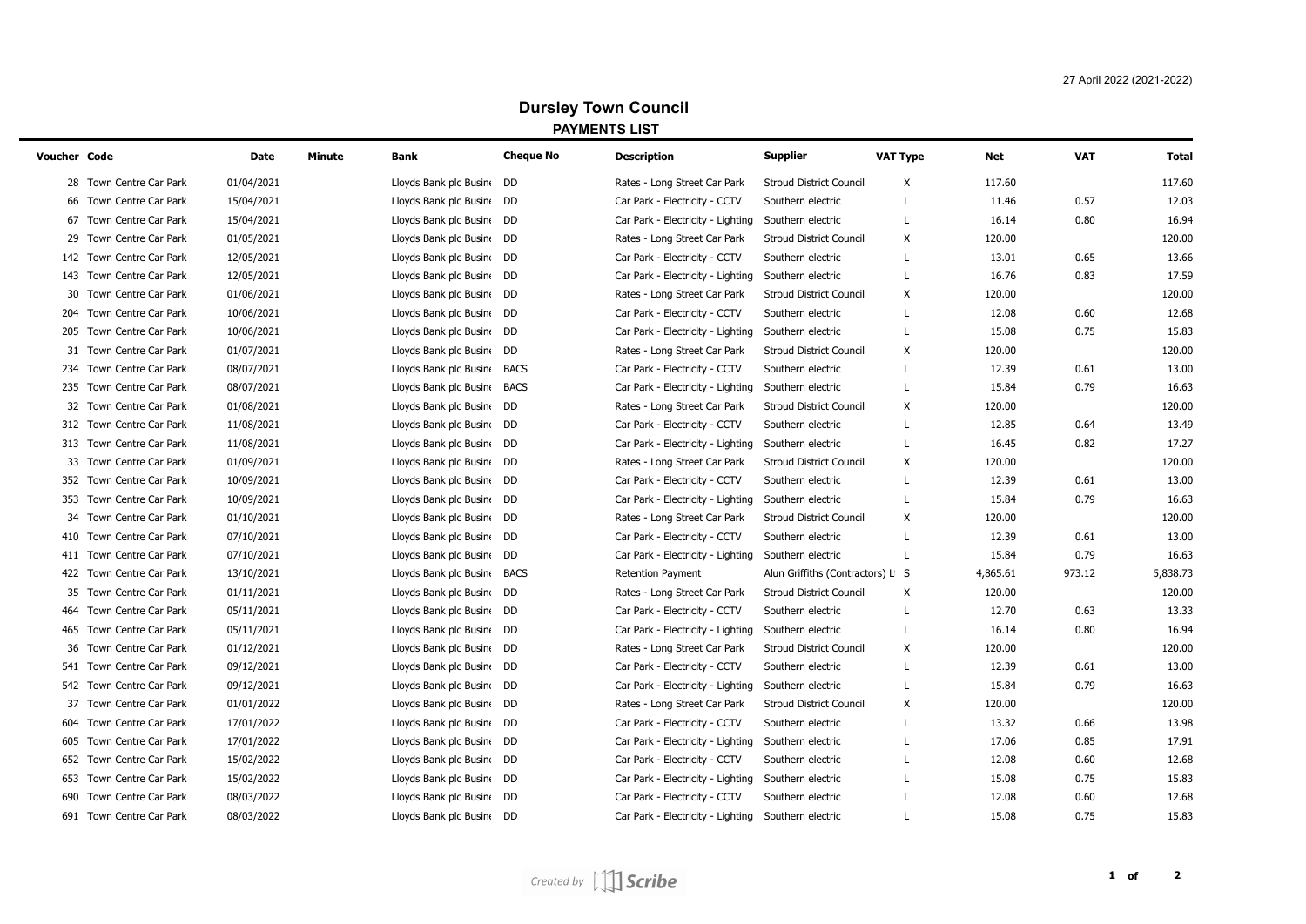## **Dursley Town Council PAYMENTS LIST**

| Voucher Code |                          | Date       | Minute<br>Bank              | <b>Cheque No</b> | <b>Description</b>                | <b>Supplier</b>                  | VAT Type | Net      | <b>VAT</b> | Total    |
|--------------|--------------------------|------------|-----------------------------|------------------|-----------------------------------|----------------------------------|----------|----------|------------|----------|
|              | 28 Town Centre Car Park  | 01/04/2021 | Lloyds Bank plc Busine      | DD               | Rates - Long Street Car Park      | <b>Stroud District Council</b>   | Х        | 117.60   |            | 117.60   |
|              | 66 Town Centre Car Park  | 15/04/2021 | Lloyds Bank plc Busine      | DD               | Car Park - Electricity - CCTV     | Southern electric                | L        | 11.46    | 0.57       | 12.03    |
| 67           | Town Centre Car Park     | 15/04/2021 | Lloyds Bank plc Busine DD   |                  | Car Park - Electricity - Lighting | Southern electric                | L        | 16.14    | 0.80       | 16.94    |
| 29           | Town Centre Car Park     | 01/05/2021 | Lloyds Bank plc Busine      | DD               | Rates - Long Street Car Park      | <b>Stroud District Council</b>   | Χ        | 120.00   |            | 120.00   |
| 142          | Town Centre Car Park     | 12/05/2021 | Lloyds Bank plc Busin DD    |                  | Car Park - Electricity - CCTV     | Southern electric                | L        | 13.01    | 0.65       | 13.66    |
| 143          | Town Centre Car Park     | 12/05/2021 | Lloyds Bank plc Busin DD    |                  | Car Park - Electricity - Lighting | Southern electric                | L        | 16.76    | 0.83       | 17.59    |
| 30           | Town Centre Car Park     | 01/06/2021 | Lloyds Bank plc Busine DD   |                  | Rates - Long Street Car Park      | <b>Stroud District Council</b>   | Χ        | 120.00   |            | 120.00   |
| 204          | Town Centre Car Park     | 10/06/2021 | Lloyds Bank plc Busin DD    |                  | Car Park - Electricity - CCTV     | Southern electric                | L        | 12.08    | 0.60       | 12.68    |
|              | 205 Town Centre Car Park | 10/06/2021 | Lloyds Bank plc Busin DD    |                  | Car Park - Electricity - Lighting | Southern electric                | L        | 15.08    | 0.75       | 15.83    |
|              | 31 Town Centre Car Park  | 01/07/2021 | Lloyds Bank plc Busin DD    |                  | Rates - Long Street Car Park      | <b>Stroud District Council</b>   | Х        | 120.00   |            | 120.00   |
|              | 234 Town Centre Car Park | 08/07/2021 | Lloyds Bank plc Busine BACS |                  | Car Park - Electricity - CCTV     | Southern electric                | L        | 12.39    | 0.61       | 13.00    |
|              | 235 Town Centre Car Park | 08/07/2021 | Lloyds Bank plc Busine      | <b>BACS</b>      | Car Park - Electricity - Lighting | Southern electric                | L        | 15.84    | 0.79       | 16.63    |
|              | 32 Town Centre Car Park  | 01/08/2021 | Lloyds Bank plc Busin DD    |                  | Rates - Long Street Car Park      | <b>Stroud District Council</b>   | Х        | 120.00   |            | 120.00   |
|              | 312 Town Centre Car Park | 11/08/2021 | Lloyds Bank plc Busin DD    |                  | Car Park - Electricity - CCTV     | Southern electric                | L        | 12.85    | 0.64       | 13.49    |
|              | 313 Town Centre Car Park | 11/08/2021 | Lloyds Bank plc Busine DD   |                  | Car Park - Electricity - Lighting | Southern electric                | L        | 16.45    | 0.82       | 17.27    |
| 33           | Town Centre Car Park     | 01/09/2021 | Lloyds Bank plc Busin DD    |                  | Rates - Long Street Car Park      | <b>Stroud District Council</b>   | х        | 120.00   |            | 120.00   |
|              | 352 Town Centre Car Park | 10/09/2021 | Lloyds Bank plc Busin DD    |                  | Car Park - Electricity - CCTV     | Southern electric                | L        | 12.39    | 0.61       | 13.00    |
|              | 353 Town Centre Car Park | 10/09/2021 | Lloyds Bank plc Busin DD    |                  | Car Park - Electricity - Lighting | Southern electric                | L        | 15.84    | 0.79       | 16.63    |
|              | 34 Town Centre Car Park  | 01/10/2021 | Lloyds Bank plc Busine DD   |                  | Rates - Long Street Car Park      | <b>Stroud District Council</b>   | Χ        | 120.00   |            | 120.00   |
|              | 410 Town Centre Car Park | 07/10/2021 | Lloyds Bank plc Busin DD    |                  | Car Park - Electricity - CCTV     | Southern electric                |          | 12.39    | 0.61       | 13.00    |
|              | 411 Town Centre Car Park | 07/10/2021 | Lloyds Bank plc Busin DD    |                  | Car Park - Electricity - Lighting | Southern electric                | L        | 15.84    | 0.79       | 16.63    |
|              | 422 Town Centre Car Park | 13/10/2021 | Lloyds Bank plc Busine BACS |                  | <b>Retention Payment</b>          | Alun Griffiths (Contractors) L S |          | 4,865.61 | 973.12     | 5,838.73 |
|              | 35 Town Centre Car Park  | 01/11/2021 | Lloyds Bank plc Busine      | DD               | Rates - Long Street Car Park      | <b>Stroud District Council</b>   | Х        | 120.00   |            | 120.00   |
|              | 464 Town Centre Car Park | 05/11/2021 | Lloyds Bank plc Busin DD    |                  | Car Park - Electricity - CCTV     | Southern electric                | L        | 12.70    | 0.63       | 13.33    |
| 465          | Town Centre Car Park     | 05/11/2021 | Lloyds Bank plc Busin DD    |                  | Car Park - Electricity - Lighting | Southern electric                | L        | 16.14    | 0.80       | 16.94    |
| 36           | Town Centre Car Park     | 01/12/2021 | Lloyds Bank plc Busine      | DD.              | Rates - Long Street Car Park      | <b>Stroud District Council</b>   | Χ        | 120.00   |            | 120.00   |
|              | 541 Town Centre Car Park | 09/12/2021 | Lloyds Bank plc Busine      | DD               | Car Park - Electricity - CCTV     | Southern electric                | L        | 12.39    | 0.61       | 13.00    |
|              | 542 Town Centre Car Park | 09/12/2021 | Lloyds Bank plc Busine      | DD               | Car Park - Electricity - Lighting | Southern electric                | L        | 15.84    | 0.79       | 16.63    |
| 37           | Town Centre Car Park     | 01/01/2022 | Lloyds Bank plc Busin DD    |                  | Rates - Long Street Car Park      | <b>Stroud District Council</b>   | Х        | 120.00   |            | 120.00   |
|              | 604 Town Centre Car Park | 17/01/2022 | Lloyds Bank plc Busine DD   |                  | Car Park - Electricity - CCTV     | Southern electric                | L        | 13.32    | 0.66       | 13.98    |
| 605          | Town Centre Car Park     | 17/01/2022 | Lloyds Bank plc Busine DD   |                  | Car Park - Electricity - Lighting | Southern electric                |          | 17.06    | 0.85       | 17.91    |
|              | 652 Town Centre Car Park | 15/02/2022 | Lloyds Bank plc Busin DD    |                  | Car Park - Electricity - CCTV     | Southern electric                | L        | 12.08    | 0.60       | 12.68    |
| 653          | Town Centre Car Park     | 15/02/2022 | Lloyds Bank plc Busin DD    |                  | Car Park - Electricity - Lighting | Southern electric                | L        | 15.08    | 0.75       | 15.83    |
| 690          | Town Centre Car Park     | 08/03/2022 | Lloyds Bank plc Busine      | DD               | Car Park - Electricity - CCTV     | Southern electric                |          | 12.08    | 0.60       | 12.68    |
|              | 691 Town Centre Car Park | 08/03/2022 | Lloyds Bank plc Busine DD   |                  | Car Park - Electricity - Lighting | Southern electric                |          | 15.08    | 0.75       | 15.83    |